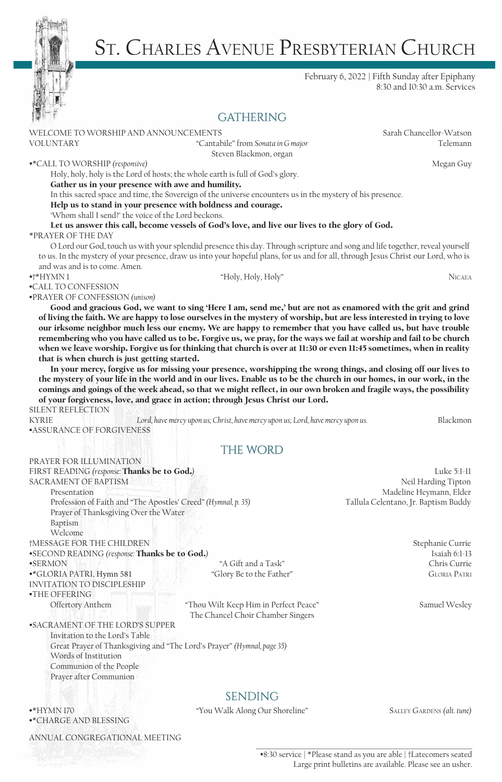

# St. Charles Avenue Presbyterian Church

#### February 6, 2022 | Fifth Sunday after Epiphany 8:30 and 10:30 a.m. Services

# **GATHERING**

Steven Blackmon, organ

WELCOME TO WORSHIP AND ANNOUNCEMENTS Sarah Chancellor-Watson VOLUNTARY "Cantabile" from *Sonata in G major* Telemann

•\*CALL TO WORSHIP *(responsive)* Megan Guy

Holy, holy, holy is the Lord of hosts; the whole earth is full of God's glory.

Gather us in your presence with awe and humility.

In this sacred space and time, the Sovereign of the universe encounters us in the mystery of his presence.

Help us to stand in your presence with boldness and courage.

'Whom shall I send?' the voice of the Lord beckons.

Let us answer this call, become vessels of God's love, and live our lives to the glory of God. \*PRAYER OF THE DAY

O Lord our God, touch us with your splendid presence this day. Through scripture and song and life together, reveal yourself to us. In the mystery of your presence, draw us into your hopeful plans, for us and for all, through Jesus Christ our Lord, who is and was and is to come. Amen.

•†\*HYMN 1 "Holy, Holy, Holy" Nicaea

•CALL TO CONFESSION

•PRAYER OF CONFESSION *(unison)* 

Good and gracious God, we want to sing 'Here I am, send me,' but are not as enamored with the grit and grind of living the faith. We are happy to lose ourselves in the mystery of worship, but are less interested in trying to love our irksome neighbor much less our enemy. We are happy to remember that you have called us, but have trouble remembering who you have called us to be. Forgive us, we pray, for the ways we fail at worship and fail to be church when we leave worship. Forgive us for thinking that church is over at 11:30 or even 11:45 sometimes, when in reality that is when church is just getting started.

In your mercy, forgive us for missing your presence, worshipping the wrong things, and closing off our lives to the mystery of your life in the world and in our lives. Enable us to be the church in our homes, in our work, in the comings and goings of the week ahead, so that we might reflect, in our own broken and fragile ways, the possibility of your forgiveness, love, and grace in action; through Jesus Christ our Lord.

#### SILENT REFLECTION

KYRIE *Lord, have mercy upon us; Christ, have mercy upon us; Lord, have mercy upon us.* Blackmon •ASSURANCE OF FORGIVENESS

## **the word in the word of the word of the word of the word of the word of the word of the word of the word of the word of the word of the word of the word of the word of the word of the word of the word of the word of the w**

| PRAYER FOR ILLUMINATION                                       |                                                                        |                                      |
|---------------------------------------------------------------|------------------------------------------------------------------------|--------------------------------------|
| FIRST READING (response: Thanks be to God.)                   |                                                                        | Luke $5:1-11$                        |
| <b>SACRAMENT OF BAPTISM</b>                                   |                                                                        | Neil Harding Tipton                  |
| Presentation                                                  |                                                                        | Madeline Heymann, Elder              |
| Profession of Faith and "The Apostles' Creed" (Hymnal, p. 35) |                                                                        | Tallula Celentano, Jr. Baptism Buddy |
| Prayer of Thanksgiving Over the Water                         |                                                                        |                                      |
| Baptism                                                       |                                                                        |                                      |
| Welcome                                                       |                                                                        |                                      |
| †MESSAGE FOR THE CHILDREN                                     |                                                                        | Stephanie Currie                     |
| •SECOND READING (response: Thanks be to God.)                 |                                                                        | Isaiah $6:1-13$                      |
| <b>•SERMON</b>                                                | "A Gift and a Task"                                                    | Chris Currie                         |
| •*GLORIA PATRI, Hymn 581                                      | "Glory Be to the Father"                                               | <b>GLORIA PATRI</b>                  |
| <b>INVITATION TO DISCIPLESHIP</b>                             |                                                                        |                                      |
| •THE OFFERING                                                 |                                                                        |                                      |
| Offertory Anthem                                              | "Thou Wilt Keep Him in Perfect Peace"                                  | Samuel Wesley                        |
|                                                               | The Chancel Choir Chamber Singers                                      |                                      |
| •SACRAMENT OF THE LORD'S SUPPER                               |                                                                        |                                      |
| Invitation to the Lord's Table                                |                                                                        |                                      |
|                                                               | Great Prayer of Thanksgiving and "The Lord's Prayer" (Hymnal, page 35) |                                      |
| Words of Institution                                          |                                                                        |                                      |
| Communion of the People                                       |                                                                        |                                      |
| Prayer after Communion                                        |                                                                        |                                      |
|                                                               |                                                                        |                                      |
|                                                               | <b>SENDING</b>                                                         |                                      |
| $\bullet$ *HYMN 170<br>•* CHARGE AND BLESSING                 | "You Walk Along Our Shoreline"                                         | SALLEY GARDENS (alt. tune)           |

ANNUAL CONGREGATIONAL MEETING

•8:30 service | \*Please stand as you are able | †Latecomers seated Large print bulletins are available. Please see an usher.